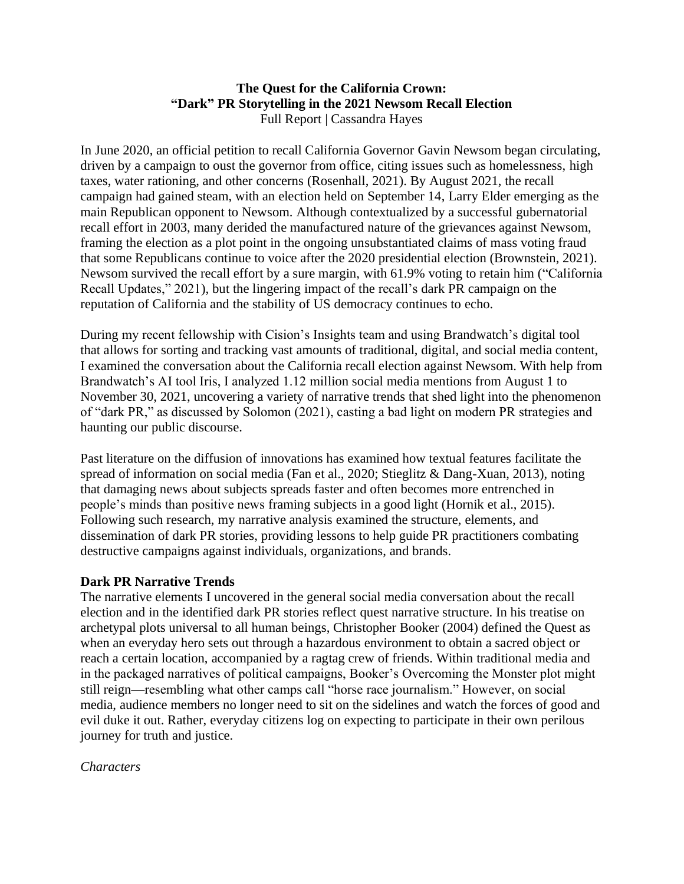## **The Quest for the California Crown: "Dark" PR Storytelling in the 2021 Newsom Recall Election** Full Report | Cassandra Hayes

In June 2020, an official petition to recall California Governor Gavin Newsom began circulating, driven by a campaign to oust the governor from office, citing issues such as homelessness, high taxes, water rationing, and other concerns (Rosenhall, 2021). By August 2021, the recall campaign had gained steam, with an election held on September 14, Larry Elder emerging as the main Republican opponent to Newsom. Although contextualized by a successful gubernatorial recall effort in 2003, many derided the manufactured nature of the grievances against Newsom, framing the election as a plot point in the ongoing unsubstantiated claims of mass voting fraud that some Republicans continue to voice after the 2020 presidential election (Brownstein, 2021). Newsom survived the recall effort by a sure margin, with 61.9% voting to retain him ("California Recall Updates," 2021), but the lingering impact of the recall's dark PR campaign on the reputation of California and the stability of US democracy continues to echo.

During my recent fellowship with Cision's Insights team and using Brandwatch's digital tool that allows for sorting and tracking vast amounts of traditional, digital, and social media content, I examined the conversation about the California recall election against Newsom. With help from Brandwatch's AI tool Iris, I analyzed 1.12 million social media mentions from August 1 to November 30, 2021, uncovering a variety of narrative trends that shed light into the phenomenon of "dark PR," as discussed by Solomon (2021), casting a bad light on modern PR strategies and haunting our public discourse.

Past literature on the diffusion of innovations has examined how textual features facilitate the spread of information on social media (Fan et al., 2020; Stieglitz & Dang-Xuan, 2013), noting that damaging news about subjects spreads faster and often becomes more entrenched in people's minds than positive news framing subjects in a good light (Hornik et al., 2015). Following such research, my narrative analysis examined the structure, elements, and dissemination of dark PR stories, providing lessons to help guide PR practitioners combating destructive campaigns against individuals, organizations, and brands.

# **Dark PR Narrative Trends**

The narrative elements I uncovered in the general social media conversation about the recall election and in the identified dark PR stories reflect quest narrative structure. In his treatise on archetypal plots universal to all human beings, Christopher Booker (2004) defined the Quest as when an everyday hero sets out through a hazardous environment to obtain a sacred object or reach a certain location, accompanied by a ragtag crew of friends. Within traditional media and in the packaged narratives of political campaigns, Booker's Overcoming the Monster plot might still reign—resembling what other camps call "horse race journalism." However, on social media, audience members no longer need to sit on the sidelines and watch the forces of good and evil duke it out. Rather, everyday citizens log on expecting to participate in their own perilous journey for truth and justice.

### *Characters*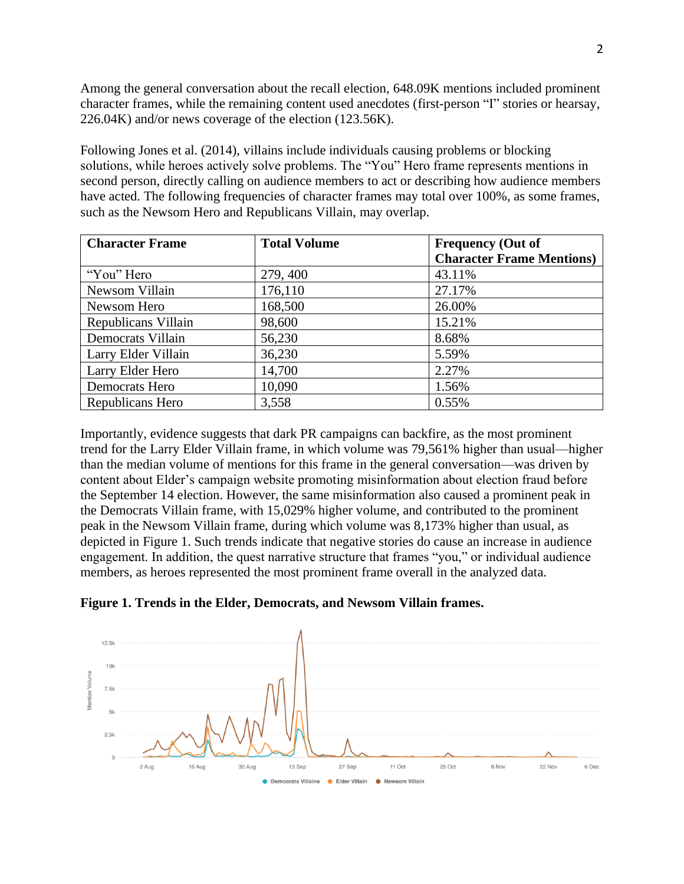Among the general conversation about the recall election, 648.09K mentions included prominent character frames, while the remaining content used anecdotes (first-person "I" stories or hearsay, 226.04K) and/or news coverage of the election (123.56K).

Following Jones et al. (2014), villains include individuals causing problems or blocking solutions, while heroes actively solve problems. The "You" Hero frame represents mentions in second person, directly calling on audience members to act or describing how audience members have acted. The following frequencies of character frames may total over 100%, as some frames, such as the Newsom Hero and Republicans Villain, may overlap.

| <b>Character Frame</b> | <b>Total Volume</b> | <b>Frequency (Out of</b>         |
|------------------------|---------------------|----------------------------------|
|                        |                     | <b>Character Frame Mentions)</b> |
| "You" Hero             | 279, 400            | 43.11%                           |
| Newsom Villain         | 176,110             | 27.17%                           |
| Newsom Hero            | 168,500             | 26.00%                           |
| Republicans Villain    | 98,600              | 15.21%                           |
| Democrats Villain      | 56,230              | 8.68%                            |
| Larry Elder Villain    | 36,230              | 5.59%                            |
| Larry Elder Hero       | 14,700              | 2.27%                            |
| Democrats Hero         | 10,090              | 1.56%                            |
| Republicans Hero       | 3,558               | 0.55%                            |

Importantly, evidence suggests that dark PR campaigns can backfire, as the most prominent trend for the Larry Elder Villain frame, in which volume was 79,561% higher than usual—higher than the median volume of mentions for this frame in the general conversation—was driven by content about Elder's campaign website promoting misinformation about election fraud before the September 14 election. However, the same misinformation also caused a prominent peak in the Democrats Villain frame, with 15,029% higher volume, and contributed to the prominent peak in the Newsom Villain frame, during which volume was 8,173% higher than usual, as depicted in Figure 1. Such trends indicate that negative stories do cause an increase in audience engagement. In addition, the quest narrative structure that frames "you," or individual audience members, as heroes represented the most prominent frame overall in the analyzed data.

**Figure 1. Trends in the Elder, Democrats, and Newsom Villain frames.**

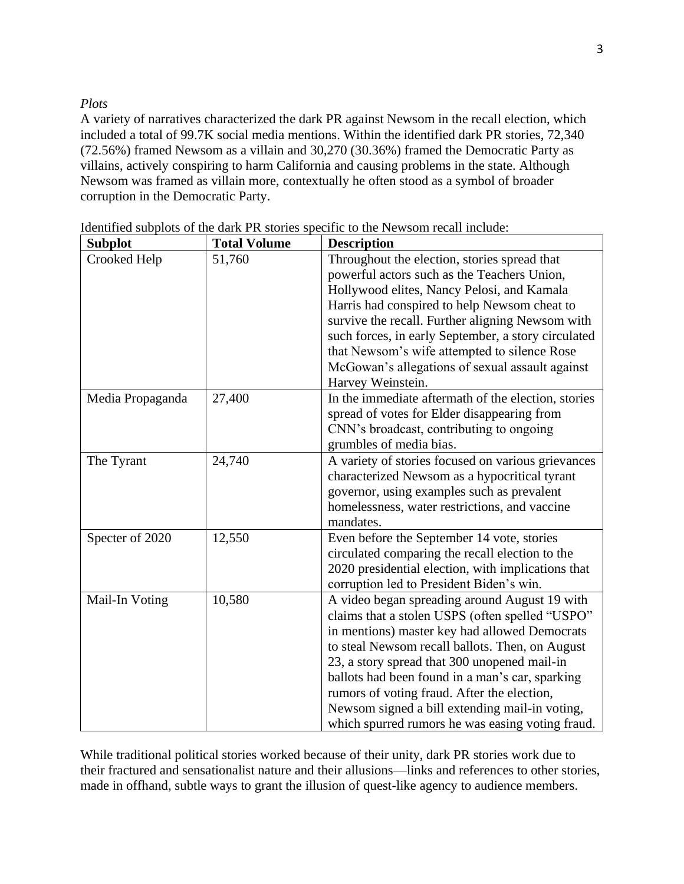# *Plots*

A variety of narratives characterized the dark PR against Newsom in the recall election, which included a total of 99.7K social media mentions. Within the identified dark PR stories, 72,340 (72.56%) framed Newsom as a villain and 30,270 (30.36%) framed the Democratic Party as villains, actively conspiring to harm California and causing problems in the state. Although Newsom was framed as villain more, contextually he often stood as a symbol of broader corruption in the Democratic Party.

| <b>Subplot</b>   | <b>Total Volume</b> | <b>Description</b>                                  |
|------------------|---------------------|-----------------------------------------------------|
| Crooked Help     | 51,760              | Throughout the election, stories spread that        |
|                  |                     | powerful actors such as the Teachers Union,         |
|                  |                     | Hollywood elites, Nancy Pelosi, and Kamala          |
|                  |                     | Harris had conspired to help Newsom cheat to        |
|                  |                     | survive the recall. Further aligning Newsom with    |
|                  |                     | such forces, in early September, a story circulated |
|                  |                     | that Newsom's wife attempted to silence Rose        |
|                  |                     | McGowan's allegations of sexual assault against     |
|                  |                     | Harvey Weinstein.                                   |
| Media Propaganda | 27,400              | In the immediate aftermath of the election, stories |
|                  |                     | spread of votes for Elder disappearing from         |
|                  |                     | CNN's broadcast, contributing to ongoing            |
|                  |                     | grumbles of media bias.                             |
| The Tyrant       | 24,740              | A variety of stories focused on various grievances  |
|                  |                     | characterized Newsom as a hypocritical tyrant       |
|                  |                     | governor, using examples such as prevalent          |
|                  |                     | homelessness, water restrictions, and vaccine       |
|                  |                     | mandates.                                           |
| Specter of 2020  | 12,550              | Even before the September 14 vote, stories          |
|                  |                     | circulated comparing the recall election to the     |
|                  |                     | 2020 presidential election, with implications that  |
|                  |                     | corruption led to President Biden's win.            |
| Mail-In Voting   | 10,580              | A video began spreading around August 19 with       |
|                  |                     | claims that a stolen USPS (often spelled "USPO"     |
|                  |                     | in mentions) master key had allowed Democrats       |
|                  |                     | to steal Newsom recall ballots. Then, on August     |
|                  |                     | 23, a story spread that 300 unopened mail-in        |
|                  |                     | ballots had been found in a man's car, sparking     |
|                  |                     | rumors of voting fraud. After the election,         |
|                  |                     | Newsom signed a bill extending mail-in voting,      |
|                  |                     | which spurred rumors he was easing voting fraud.    |

Identified subplots of the dark PR stories specific to the Newsom recall include:

While traditional political stories worked because of their unity, dark PR stories work due to their fractured and sensationalist nature and their allusions—links and references to other stories, made in offhand, subtle ways to grant the illusion of quest-like agency to audience members.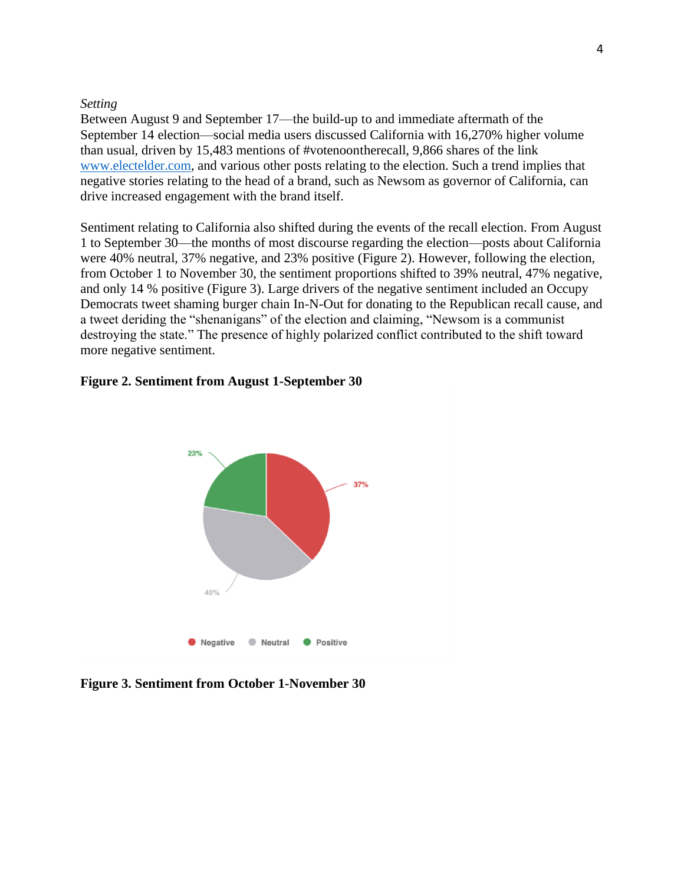#### *Setting*

Between August 9 and September 17—the build-up to and immediate aftermath of the September 14 election—social media users discussed California with 16,270% higher volume than usual, driven by 15,483 mentions of #votenoontherecall, 9,866 shares of the link [www.electelder.com,](http://www.electelder.com/) and various other posts relating to the election. Such a trend implies that negative stories relating to the head of a brand, such as Newsom as governor of California, can drive increased engagement with the brand itself.

Sentiment relating to California also shifted during the events of the recall election. From August 1 to September 30—the months of most discourse regarding the election—posts about California were 40% neutral, 37% negative, and 23% positive (Figure 2). However, following the election, from October 1 to November 30, the sentiment proportions shifted to 39% neutral, 47% negative, and only 14 % positive (Figure 3). Large drivers of the negative sentiment included an Occupy Democrats tweet shaming burger chain In-N-Out for donating to the Republican recall cause, and a tweet deriding the "shenanigans" of the election and claiming, "Newsom is a communist destroying the state." The presence of highly polarized conflict contributed to the shift toward more negative sentiment.

#### **Figure 2. Sentiment from August 1-September 30**



**Figure 3. Sentiment from October 1-November 30**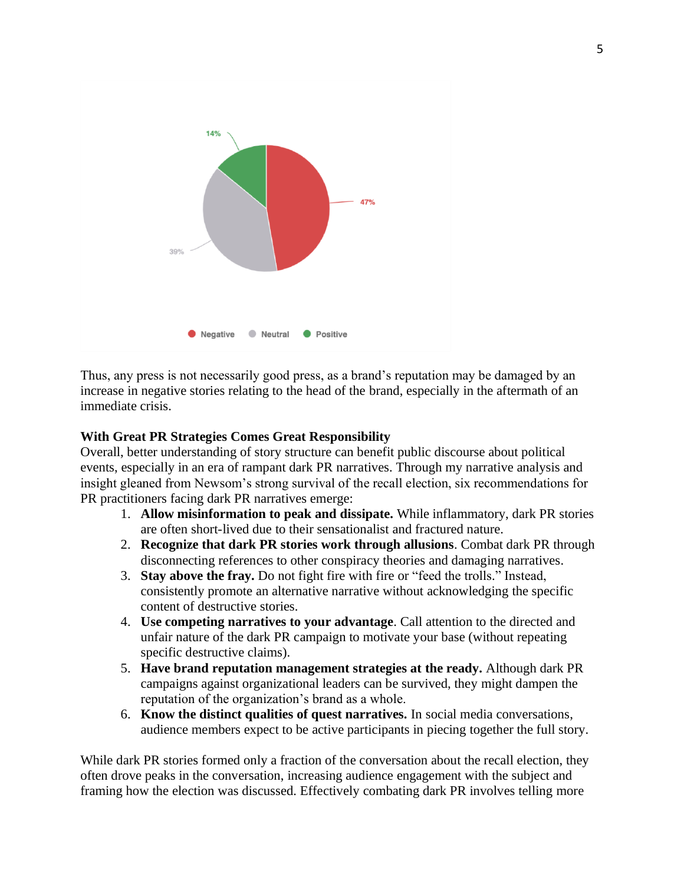

Thus, any press is not necessarily good press, as a brand's reputation may be damaged by an increase in negative stories relating to the head of the brand, especially in the aftermath of an immediate crisis.

## **With Great PR Strategies Comes Great Responsibility**

Overall, better understanding of story structure can benefit public discourse about political events, especially in an era of rampant dark PR narratives. Through my narrative analysis and insight gleaned from Newsom's strong survival of the recall election, six recommendations for PR practitioners facing dark PR narratives emerge:

- 1. **Allow misinformation to peak and dissipate.** While inflammatory, dark PR stories are often short-lived due to their sensationalist and fractured nature.
- 2. **Recognize that dark PR stories work through allusions**. Combat dark PR through disconnecting references to other conspiracy theories and damaging narratives.
- 3. **Stay above the fray.** Do not fight fire with fire or "feed the trolls." Instead, consistently promote an alternative narrative without acknowledging the specific content of destructive stories.
- 4. **Use competing narratives to your advantage**. Call attention to the directed and unfair nature of the dark PR campaign to motivate your base (without repeating specific destructive claims).
- 5. **Have brand reputation management strategies at the ready.** Although dark PR campaigns against organizational leaders can be survived, they might dampen the reputation of the organization's brand as a whole.
- 6. **Know the distinct qualities of quest narratives.** In social media conversations, audience members expect to be active participants in piecing together the full story.

While dark PR stories formed only a fraction of the conversation about the recall election, they often drove peaks in the conversation, increasing audience engagement with the subject and framing how the election was discussed. Effectively combating dark PR involves telling more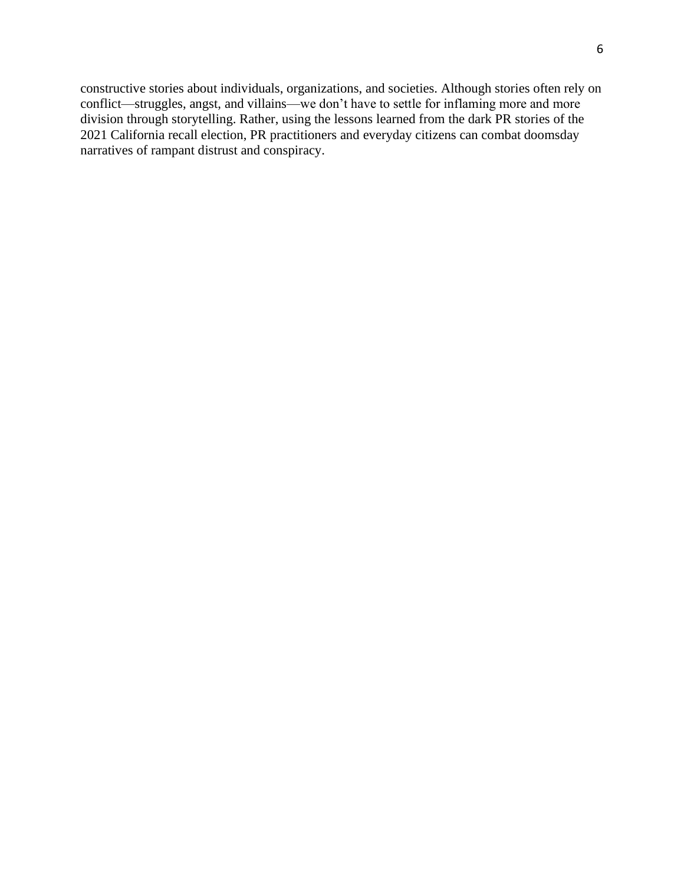constructive stories about individuals, organizations, and societies. Although stories often rely on conflict—struggles, angst, and villains—we don't have to settle for inflaming more and more division through storytelling. Rather, using the lessons learned from the dark PR stories of the 2021 California recall election, PR practitioners and everyday citizens can combat doomsday narratives of rampant distrust and conspiracy.